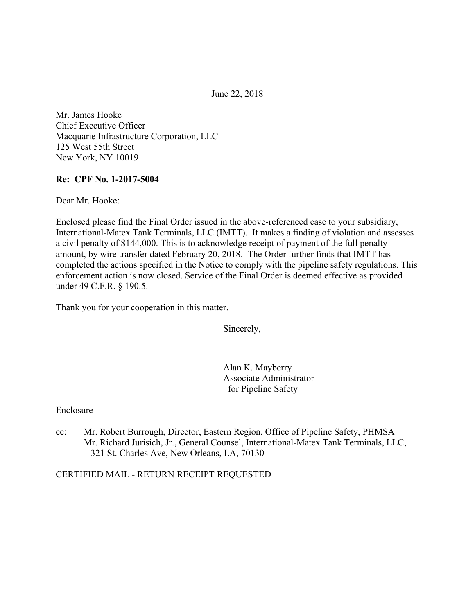June 22, 2018

Mr. James Hooke Chief Executive Officer Macquarie Infrastructure Corporation, LLC 125 West 55th Street New York, NY 10019

### **Re: CPF No. 1-2017-5004**

Dear Mr. Hooke:

Enclosed please find the Final Order issued in the above-referenced case to your subsidiary, International-Matex Tank Terminals, LLC (IMTT). It makes a finding of violation and assesses a civil penalty of \$144,000. This is to acknowledge receipt of payment of the full penalty amount, by wire transfer dated February 20, 2018. The Order further finds that IMTT has completed the actions specified in the Notice to comply with the pipeline safety regulations. This enforcement action is now closed. Service of the Final Order is deemed effective as provided under 49 C.F.R. § 190.5.

Thank you for your cooperation in this matter.

Sincerely,

Alan K. Mayberry Associate Administrator for Pipeline Safety

#### Enclosure

cc: Mr. Robert Burrough, Director, Eastern Region, Office of Pipeline Safety, PHMSA Mr. Richard Jurisich, Jr., General Counsel, International-Matex Tank Terminals, LLC, 321 St. Charles Ave, New Orleans, LA, 70130

#### CERTIFIED MAIL - RETURN RECEIPT REQUESTED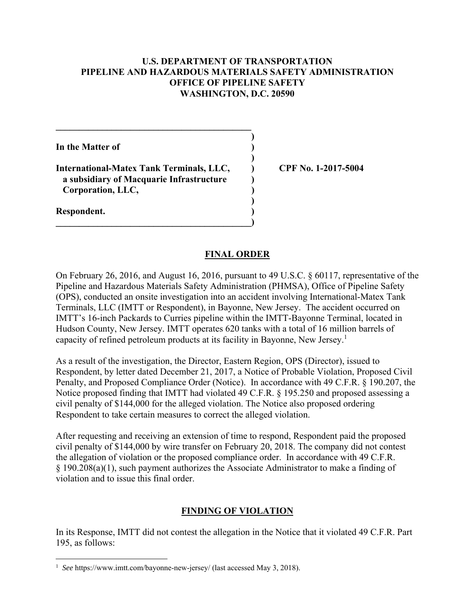### **U.S. DEPARTMENT OF TRANSPORTATION PIPELINE AND HAZARDOUS MATERIALS SAFETY ADMINISTRATION OFFICE OF PIPELINE SAFETY WASHINGTON, D.C. 20590**

**)**

 **)**

**)**

**In the Matter of )**

**International-Matex Tank Terminals, LLC, ) CPF No. 1-2017-5004 a subsidiary of Macquarie Infrastructure ) Corporation, LLC, )** 

**\_\_\_\_\_\_\_\_\_\_\_\_\_\_\_\_\_\_\_\_\_\_\_\_\_\_\_\_\_\_\_\_\_\_\_\_\_\_\_\_\_\_)** 

 $\mathcal{L} = \{ \mathcal{L} \}$ 

**Respondent. )** 

 $\overline{a}$ 

### **FINAL ORDER**

On February 26, 2016, and August 16, 2016, pursuant to 49 U.S.C. § 60117, representative of the Pipeline and Hazardous Materials Safety Administration (PHMSA), Office of Pipeline Safety (OPS), conducted an onsite investigation into an accident involving International-Matex Tank Terminals, LLC (IMTT or Respondent), in Bayonne, New Jersey. The accident occurred on IMTT's 16-inch Packards to Curries pipeline within the IMTT-Bayonne Terminal, located in Hudson County, New Jersey. IMTT operates 620 tanks with a total of 16 million barrels of capacity of refined petroleum products at its facility in Bayonne, New Jersey.<sup>1</sup>

As a result of the investigation, the Director, Eastern Region, OPS (Director), issued to Respondent, by letter dated December 21, 2017, a Notice of Probable Violation, Proposed Civil Penalty, and Proposed Compliance Order (Notice). In accordance with 49 C.F.R. § 190.207, the Notice proposed finding that IMTT had violated 49 C.F.R. § 195.250 and proposed assessing a civil penalty of \$144,000 for the alleged violation. The Notice also proposed ordering Respondent to take certain measures to correct the alleged violation.

After requesting and receiving an extension of time to respond, Respondent paid the proposed civil penalty of \$144,000 by wire transfer on February 20, 2018. The company did not contest the allegation of violation or the proposed compliance order. In accordance with 49 C.F.R. § 190.208(a)(1), such payment authorizes the Associate Administrator to make a finding of violation and to issue this final order.

## **FINDING OF VIOLATION**

In its Response, IMTT did not contest the allegation in the Notice that it violated 49 C.F.R. Part 195, as follows:

 <sup>1</sup> *See* https://www.imtt.com/bayonne-new-jersey/ (last accessed May 3, 2018).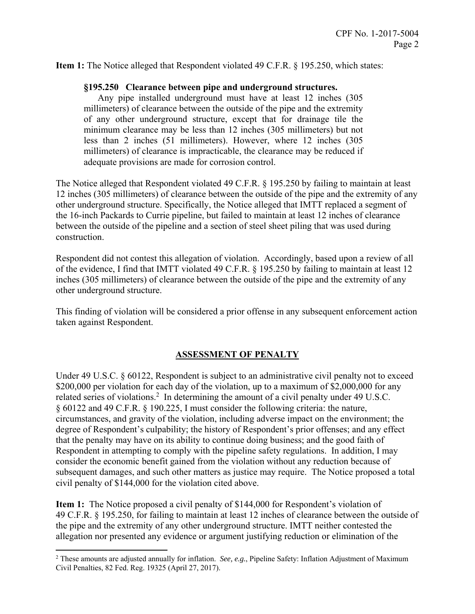**Item 1:** The Notice alleged that Respondent violated 49 C.F.R. § 195.250, which states:

#### **§195.250 Clearance between pipe and underground structures.**

 less than 2 inches (51 millimeters). However, where 12 inches (305 millimeters) of clearance is impracticable, the clearance may be reduced if Any pipe installed underground must have at least 12 inches (305 millimeters) of clearance between the outside of the pipe and the extremity of any other underground structure, except that for drainage tile the minimum clearance may be less than 12 inches (305 millimeters) but not adequate provisions are made for corrosion control.

The Notice alleged that Respondent violated 49 C.F.R. § 195.250 by failing to maintain at least 12 inches (305 millimeters) of clearance between the outside of the pipe and the extremity of any other underground structure. Specifically, the Notice alleged that IMTT replaced a segment of the 16-inch Packards to Currie pipeline, but failed to maintain at least 12 inches of clearance between the outside of the pipeline and a section of steel sheet piling that was used during construction.

Respondent did not contest this allegation of violation. Accordingly, based upon a review of all of the evidence, I find that IMTT violated 49 C.F.R. § 195.250 by failing to maintain at least 12 inches (305 millimeters) of clearance between the outside of the pipe and the extremity of any other underground structure.

This finding of violation will be considered a prior offense in any subsequent enforcement action taken against Respondent.

### **ASSESSMENT OF PENALTY**

Under 49 U.S.C. § 60122, Respondent is subject to an administrative civil penalty not to exceed \$200,000 per violation for each day of the violation, up to a maximum of \$2,000,000 for any related series of violations.<sup>2</sup> In determining the amount of a civil penalty under 49 U.S.C. § 60122 and 49 C.F.R. § 190.225, I must consider the following criteria: the nature, circumstances, and gravity of the violation, including adverse impact on the environment; the degree of Respondent's culpability; the history of Respondent's prior offenses; and any effect that the penalty may have on its ability to continue doing business; and the good faith of Respondent in attempting to comply with the pipeline safety regulations. In addition, I may consider the economic benefit gained from the violation without any reduction because of subsequent damages, and such other matters as justice may require. The Notice proposed a total civil penalty of \$144,000 for the violation cited above.

**Item 1:** The Notice proposed a civil penalty of \$144,000 for Respondent's violation of 49 C.F.R. § 195.250, for failing to maintain at least 12 inches of clearance between the outside of the pipe and the extremity of any other underground structure. IMTT neither contested the allegation nor presented any evidence or argument justifying reduction or elimination of the

 2 These amounts are adjusted annually for inflation. *See, e.g.*, Pipeline Safety: Inflation Adjustment of Maximum Civil Penalties, 82 Fed. Reg. 19325 (April 27, 2017).